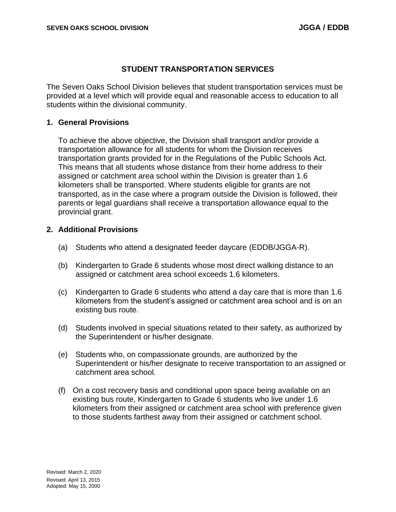## **STUDENT TRANSPORTATION SERVICES**

The Seven Oaks School Division believes that student transportation services must be provided at a level which will provide equal and reasonable access to education to all students within the divisional community.

### **1. General Provisions**

To achieve the above objective, the Division shall transport and/or provide a transportation allowance for all students for whom the Division receives transportation grants provided for in the Regulations of the Public Schools Act. This means that all students whose distance from their home address to their assigned or catchment area school within the Division is greater than 1.6 kilometers shall be transported. Where students eligible for grants are not transported, as in the case where a program outside the Division is followed, their parents or legal guardians shall receive a transportation allowance equal to the provincial grant.

### **2. Additional Provisions**

- (a) Students who attend a designated feeder daycare (EDDB/JGGA-R).
- (b) Kindergarten to Grade 6 students whose most direct walking distance to an assigned or catchment area school exceeds 1.6 kilometers.
- (c) Kindergarten to Grade 6 students who attend a day care that is more than 1.6 kilometers from the student's assigned or catchment area school and is on an existing bus route.
- (d) Students involved in special situations related to their safety, as authorized by the Superintendent or his/her designate.
- (e) Students who, on compassionate grounds, are authorized by the Superintendent or his/her designate to receive transportation to an assigned or catchment area school.
- (f) On a cost recovery basis and conditional upon space being available on an existing bus route, Kindergarten to Grade 6 students who live under 1.6 kilometers from their assigned or catchment area school with preference given to those students farthest away from their assigned or catchment school.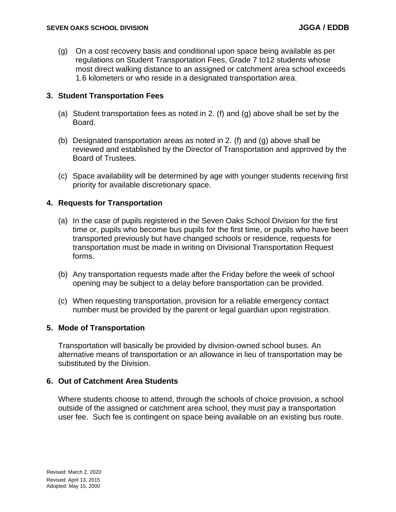(g) On a cost recovery basis and conditional upon space being available as per regulations on Student Transportation Fees, Grade 7 to12 students whose most direct walking distance to an assigned or catchment area school exceeds 1.6 kilometers or who reside in a designated transportation area.

## **3. Student Transportation Fees**

- (a) Student transportation fees as noted in 2. (f) and (g) above shall be set by the Board.
- (b) Designated transportation areas as noted in 2. (f) and (g) above shall be reviewed and established by the Director of Transportation and approved by the Board of Trustees.
- (c) Space availability will be determined by age with younger students receiving first priority for available discretionary space.

## **4. Requests for Transportation**

- (a) In the case of pupils registered in the Seven Oaks School Division for the first time or, pupils who become bus pupils for the first time, or pupils who have been transported previously but have changed schools or residence, requests for transportation must be made in writing on Divisional Transportation Request forms.
- (b) Any transportation requests made after the Friday before the week of school opening may be subject to a delay before transportation can be provided.
- (c) When requesting transportation, provision for a reliable emergency contact number must be provided by the parent or legal guardian upon registration.

### **5. Mode of Transportation**

Transportation will basically be provided by division-owned school buses. An alternative means of transportation or an allowance in lieu of transportation may be substituted by the Division.

# **6. Out of Catchment Area Students**

Where students choose to attend, through the schools of choice provision, a school outside of the assigned or catchment area school, they must pay a transportation user fee. Such fee is contingent on space being available on an existing bus route.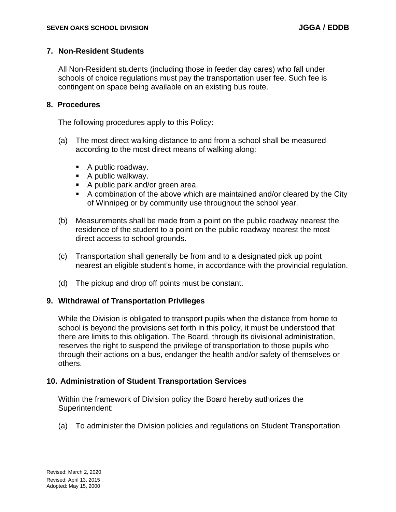## **7. Non-Resident Students**

All Non-Resident students (including those in feeder day cares) who fall under schools of choice regulations must pay the transportation user fee. Such fee is contingent on space being available on an existing bus route.

### **8. Procedures**

The following procedures apply to this Policy:

- (a) The most direct walking distance to and from a school shall be measured according to the most direct means of walking along:
	- A public roadway.
	- A public walkway.
	- A public park and/or green area.
	- A combination of the above which are maintained and/or cleared by the City of Winnipeg or by community use throughout the school year.
- (b) Measurements shall be made from a point on the public roadway nearest the residence of the student to a point on the public roadway nearest the most direct access to school grounds.
- (c) Transportation shall generally be from and to a designated pick up point nearest an eligible student's home, in accordance with the provincial regulation.
- (d) The pickup and drop off points must be constant.

### **9. Withdrawal of Transportation Privileges**

While the Division is obligated to transport pupils when the distance from home to school is beyond the provisions set forth in this policy, it must be understood that there are limits to this obligation. The Board, through its divisional administration, reserves the right to suspend the privilege of transportation to those pupils who through their actions on a bus, endanger the health and/or safety of themselves or others.

### **10. Administration of Student Transportation Services**

Within the framework of Division policy the Board hereby authorizes the Superintendent:

(a) To administer the Division policies and regulations on Student Transportation